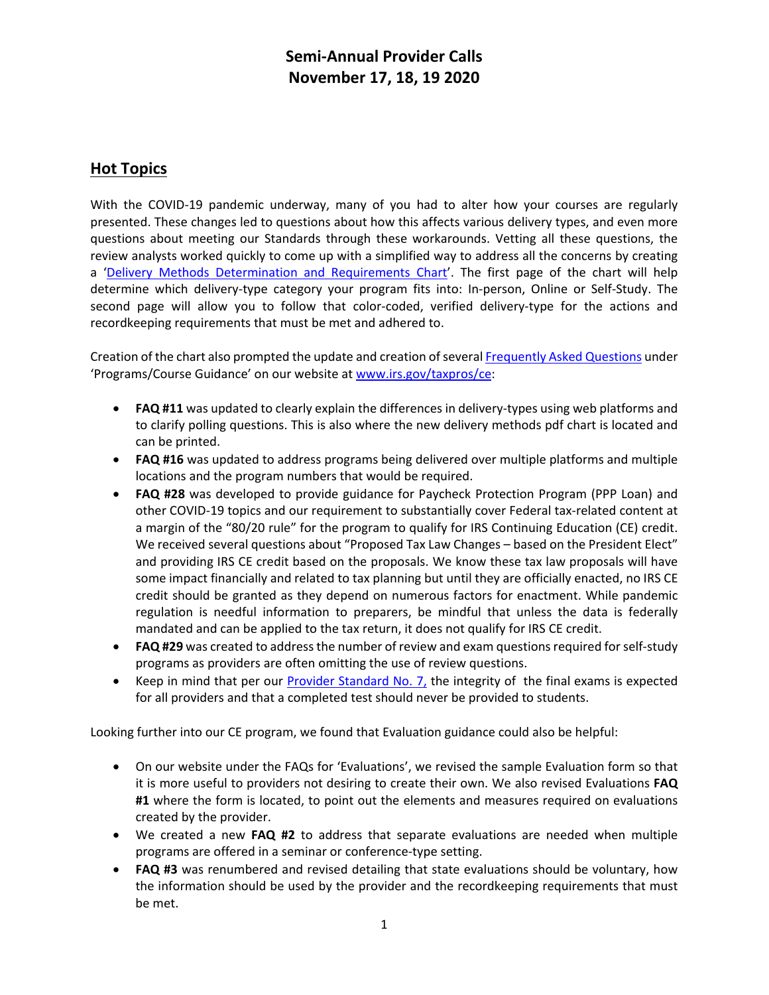# **Semi-Annual Provider Calls November 17, 18, 19 2020**

## **Hot Topics**

With the COVID-19 pandemic underway, many of you had to alter how your courses are regularly presented. These changes led to questions about how this affects various delivery types, and even more questions about meeting our Standards through these workarounds. Vetting all these questions, the review analysts worked quickly to come up with a simplified way to address all the concerns by creating a ['Delivery Methods Determination and Requirements Chart'](https://www.irs.gov/pub/taxpros/delivery-method-determination-and-requirements-chart.pdf). The first page of the chart will help determine which delivery-type category your program fits into: In-person, Online or Self-Study. The second page will allow you to follow that color-coded, verified delivery-type for the actions and recordkeeping requirements that must be met and adhered to.

Creation of the chart also prompted the update and creation of several [Frequently Asked Questions](https://www.irs.gov/tax-professionals/ce-faqs-continuing-education-providers) under 'Programs/Course Guidance' on our website a[t www.irs.gov/taxpros/ce:](http://www.irs.gov/taxpros/ce)

- **FAQ #11** was updated to clearly explain the differences in delivery-types using web platforms and to clarify polling questions. This is also where the new delivery methods pdf chart is located and can be printed.
- **FAQ #16** was updated to address programs being delivered over multiple platforms and multiple locations and the program numbers that would be required.
- **FAQ #28** was developed to provide guidance for Paycheck Protection Program (PPP Loan) and other COVID-19 topics and our requirement to substantially cover Federal tax-related content at a margin of the "80/20 rule" for the program to qualify for IRS Continuing Education (CE) credit. We received several questions about "Proposed Tax Law Changes – based on the President Elect" and providing IRS CE credit based on the proposals. We know these tax law proposals will have some impact financially and related to tax planning but until they are officially enacted, no IRS CE credit should be granted as they depend on numerous factors for enactment. While pandemic regulation is needful information to preparers, be mindful that unless the data is federally mandated and can be applied to the tax return, it does not qualify for IRS CE credit.
- **FAQ #29** was created to address the number of review and exam questions required for self-study programs as providers are often omitting the use of review questions.
- Keep in mind that per our [Provider Standard No. 7,](https://www.irs.gov/pub/irs-utl/ce_provider_standards_07302015.pdf) the integrity of the final exams is expected for all providers and that a completed test should never be provided to students.

Looking further into our CE program, we found that Evaluation guidance could also be helpful:

- On our website under the FAQs for 'Evaluations', we revised the sample Evaluation form so that it is more useful to providers not desiring to create their own. We also revised Evaluations **FAQ #1** where the form is located, to point out the elements and measures required on evaluations created by the provider.
- We created a new **FAQ #2** to address that separate evaluations are needed when multiple programs are offered in a seminar or conference-type setting.
- **FAQ #3** was renumbered and revised detailing that state evaluations should be voluntary, how the information should be used by the provider and the recordkeeping requirements that must be met.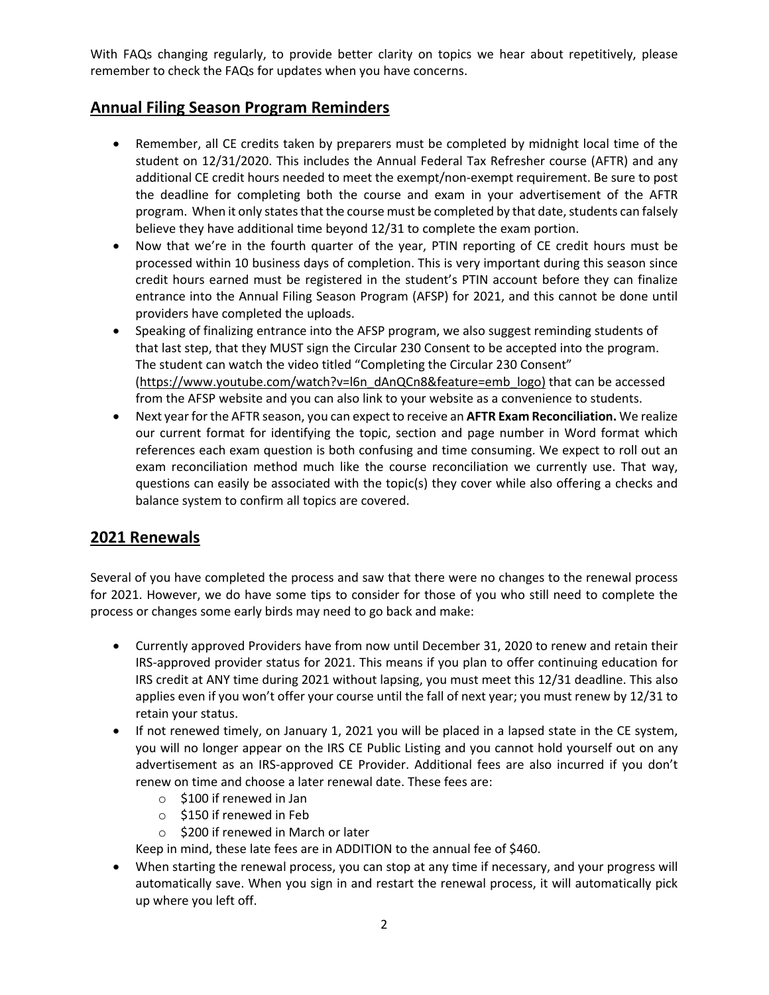With FAQs changing regularly, to provide better clarity on topics we hear about repetitively, please remember to check the FAQs for updates when you have concerns.

#### **Annual Filing Season Program Reminders**

- Remember, all CE credits taken by preparers must be completed by midnight local time of the student on 12/31/2020. This includes the Annual Federal Tax Refresher course (AFTR) and any additional CE credit hours needed to meet the exempt/non-exempt requirement. Be sure to post the deadline for completing both the course and exam in your advertisement of the AFTR program. When it only states that the course must be completed by that date, students can falsely believe they have additional time beyond 12/31 to complete the exam portion.
- Now that we're in the fourth quarter of the year, PTIN reporting of CE credit hours must be processed within 10 business days of completion. This is very important during this season since credit hours earned must be registered in the student's PTIN account before they can finalize entrance into the Annual Filing Season Program (AFSP) for 2021, and this cannot be done until providers have completed the uploads.
- Speaking of finalizing entrance into the AFSP program, we also suggest reminding students of that last step, that they MUST sign the Circular 230 Consent to be accepted into the program. The student can watch the video titled "Completing the Circular 230 Consent" [\(https://www.youtube.com/watch?v=l6n\\_dAnQCn8&feature=emb\\_logo\)](https://www.youtube.com/watch?v=l6n_dAnQCn8&feature=emb_logo) that can be accessed from the AFSP website and you can also link to your website as a convenience to students.
- Next year for the AFTR season, you can expect to receive an **AFTR Exam Reconciliation.** We realize our current format for identifying the topic, section and page number in Word format which references each exam question is both confusing and time consuming. We expect to roll out an exam reconciliation method much like the course reconciliation we currently use. That way, questions can easily be associated with the topic(s) they cover while also offering a checks and balance system to confirm all topics are covered.

#### **2021 Renewals**

Several of you have completed the process and saw that there were no changes to the renewal process for 2021. However, we do have some tips to consider for those of you who still need to complete the process or changes some early birds may need to go back and make:

- Currently approved Providers have from now until December 31, 2020 to renew and retain their IRS-approved provider status for 2021. This means if you plan to offer continuing education for IRS credit at ANY time during 2021 without lapsing, you must meet this 12/31 deadline. This also applies even if you won't offer your course until the fall of next year; you must renew by 12/31 to retain your status.
- If not renewed timely, on January 1, 2021 you will be placed in a lapsed state in the CE system, you will no longer appear on the IRS CE Public Listing and you cannot hold yourself out on any advertisement as an IRS-approved CE Provider. Additional fees are also incurred if you don't renew on time and choose a later renewal date. These fees are:
	- o \$100 if renewed in Jan
	- o \$150 if renewed in Feb
	- o \$200 if renewed in March or later

Keep in mind, these late fees are in ADDITION to the annual fee of \$460.

• When starting the renewal process, you can stop at any time if necessary, and your progress will automatically save. When you sign in and restart the renewal process, it will automatically pick up where you left off.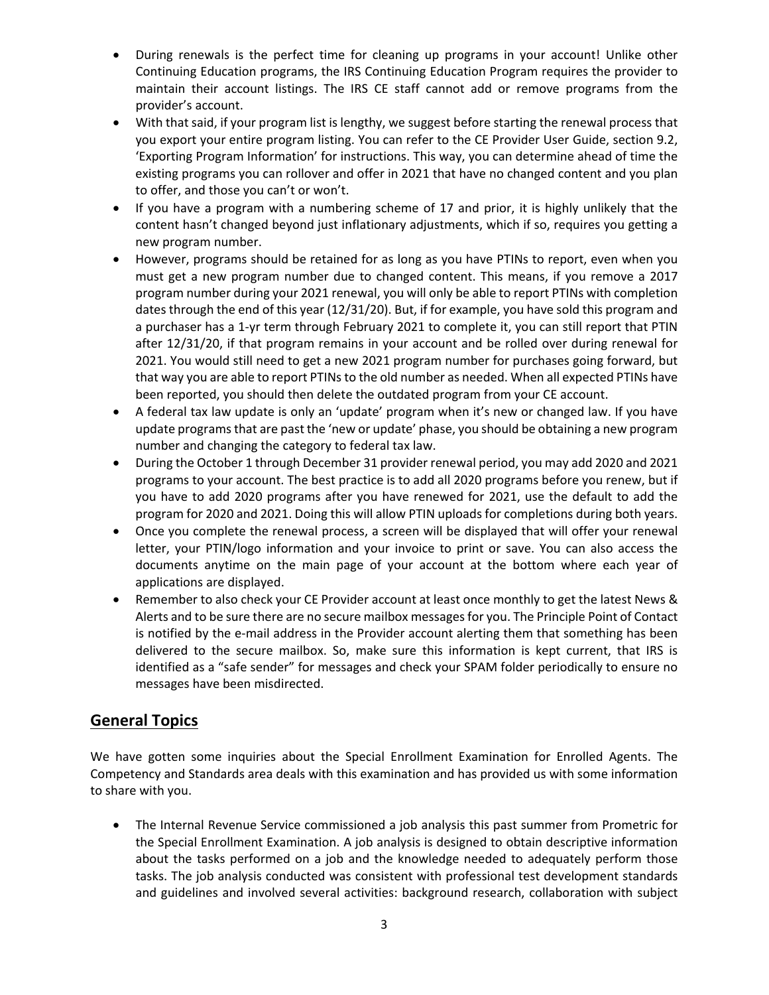- During renewals is the perfect time for cleaning up programs in your account! Unlike other Continuing Education programs, the IRS Continuing Education Program requires the provider to maintain their account listings. The IRS CE staff cannot add or remove programs from the provider's account.
- With that said, if your program list is lengthy, we suggest before starting the renewal process that you export your entire program listing. You can refer to the CE Provider User Guide, section 9.2, 'Exporting Program Information' for instructions. This way, you can determine ahead of time the existing programs you can rollover and offer in 2021 that have no changed content and you plan to offer, and those you can't or won't.
- If you have a program with a numbering scheme of 17 and prior, it is highly unlikely that the content hasn't changed beyond just inflationary adjustments, which if so, requires you getting a new program number.
- However, programs should be retained for as long as you have PTINs to report, even when you must get a new program number due to changed content. This means, if you remove a 2017 program number during your 2021 renewal, you will only be able to report PTINs with completion dates through the end of this year (12/31/20). But, if for example, you have sold this program and a purchaser has a 1-yr term through February 2021 to complete it, you can still report that PTIN after 12/31/20, if that program remains in your account and be rolled over during renewal for 2021. You would still need to get a new 2021 program number for purchases going forward, but that way you are able to report PTINs to the old number as needed. When all expected PTINs have been reported, you should then delete the outdated program from your CE account.
- A federal tax law update is only an 'update' program when it's new or changed law. If you have update programs that are past the 'new or update' phase, you should be obtaining a new program number and changing the category to federal tax law.
- During the October 1 through December 31 provider renewal period, you may add 2020 and 2021 programs to your account. The best practice is to add all 2020 programs before you renew, but if you have to add 2020 programs after you have renewed for 2021, use the default to add the program for 2020 and 2021. Doing this will allow PTIN uploads for completions during both years.
- Once you complete the renewal process, a screen will be displayed that will offer your renewal letter, your PTIN/logo information and your invoice to print or save. You can also access the documents anytime on the main page of your account at the bottom where each year of applications are displayed.
- Remember to also check your CE Provider account at least once monthly to get the latest News & Alerts and to be sure there are no secure mailbox messages for you. The Principle Point of Contact is notified by the e-mail address in the Provider account alerting them that something has been delivered to the secure mailbox. So, make sure this information is kept current, that IRS is identified as a "safe sender" for messages and check your SPAM folder periodically to ensure no messages have been misdirected.

#### **General Topics**

We have gotten some inquiries about the Special Enrollment Examination for Enrolled Agents. The Competency and Standards area deals with this examination and has provided us with some information to share with you.

• The Internal Revenue Service commissioned a job analysis this past summer from Prometric for the Special Enrollment Examination. A job analysis is designed to obtain descriptive information about the tasks performed on a job and the knowledge needed to adequately perform those tasks. The job analysis conducted was consistent with professional test development standards and guidelines and involved several activities: background research, collaboration with subject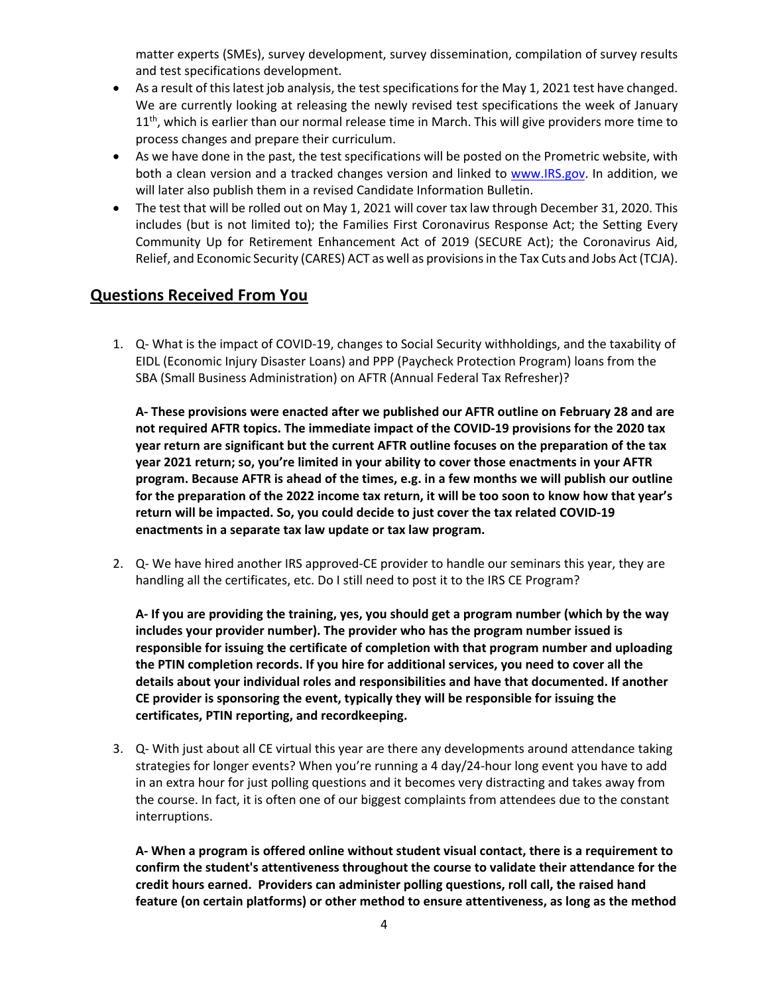matter experts (SMEs), survey development, survey dissemination, compilation of survey results and test specifications development.

- As a result of this latest job analysis, the test specifications for the May 1, 2021 test have changed. We are currently looking at releasing the newly revised test specifications the week of January  $11<sup>th</sup>$ , which is earlier than our normal release time in March. This will give providers more time to process changes and prepare their curriculum.
- As we have done in the past, the test specifications will be posted on the Prometric website, with both a clean version and a tracked changes version and linked to [www.IRS.gov.](http://www.irs.gov/) In addition, we will later also publish them in a revised Candidate Information Bulletin.
- The test that will be rolled out on May 1, 2021 will cover tax law through December 31, 2020. This includes (but is not limited to); the Families First Coronavirus Response Act; the Setting Every Community Up for Retirement Enhancement Act of 2019 (SECURE Act); the Coronavirus Aid, Relief, and Economic Security (CARES) ACT as well as provisions in the Tax Cuts and Jobs Act (TCJA).

### **Questions Received From You**

1. Q- What is the impact of COVID-19, changes to Social Security withholdings, and the taxability of EIDL (Economic Injury Disaster Loans) and PPP (Paycheck Protection Program) loans from the SBA (Small Business Administration) on AFTR (Annual Federal Tax Refresher)?

**A- These provisions were enacted after we published our AFTR outline on February 28 and are not required AFTR topics. The immediate impact of the COVID-19 provisions for the 2020 tax year return are significant but the current AFTR outline focuses on the preparation of the tax year 2021 return; so, you're limited in your ability to cover those enactments in your AFTR program. Because AFTR is ahead of the times, e.g. in a few months we will publish our outline for the preparation of the 2022 income tax return, it will be too soon to know how that year's return will be impacted. So, you could decide to just cover the tax related COVID-19 enactments in a separate tax law update or tax law program.** 

2. Q- We have hired another IRS approved-CE provider to handle our seminars this year, they are handling all the certificates, etc. Do I still need to post it to the IRS CE Program?

**A- If you are providing the training, yes, you should get a program number (which by the way includes your provider number). The provider who has the program number issued is responsible for issuing the certificate of completion with that program number and uploading the PTIN completion records. If you hire for additional services, you need to cover all the details about your individual roles and responsibilities and have that documented. If another CE provider is sponsoring the event, typically they will be responsible for issuing the certificates, PTIN reporting, and recordkeeping.** 

3. Q- With just about all CE virtual this year are there any developments around attendance taking strategies for longer events? When you're running a 4 day/24-hour long event you have to add in an extra hour for just polling questions and it becomes very distracting and takes away from the course. In fact, it is often one of our biggest complaints from attendees due to the constant interruptions.

**A- When a program is offered online without student visual contact, there is a requirement to confirm the student's attentiveness throughout the course to validate their attendance for the credit hours earned. Providers can administer polling questions, roll call, the raised hand feature (on certain platforms) or other method to ensure attentiveness, as long as the method**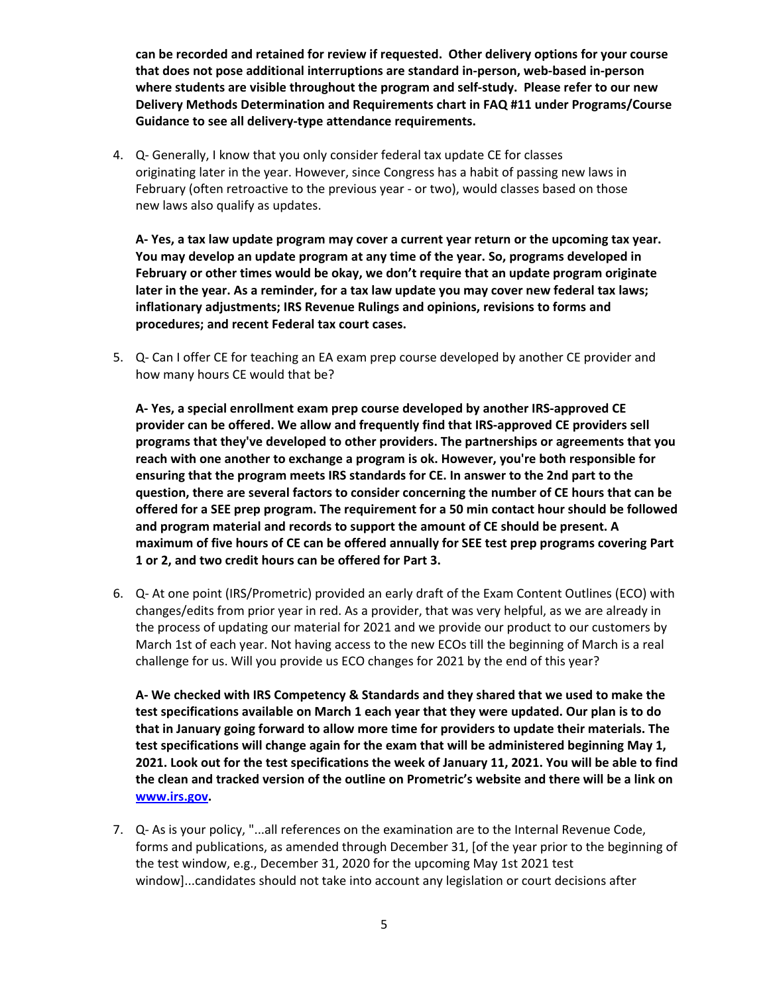**can be recorded and retained for review if requested. Other delivery options for your course that does not pose additional interruptions are standard in-person, web-based in-person where students are visible throughout the program and self-study. Please refer to our new Delivery Methods Determination and Requirements chart in FAQ #11 under Programs/Course Guidance to see all delivery-type attendance requirements.**

4. Q- Generally, I know that you only consider federal tax update CE for classes originating later in the year. However, since Congress has a habit of passing new laws in February (often retroactive to the previous year - or two), would classes based on those new laws also qualify as updates.

**A- Yes, a tax law update program may cover a current year return or the upcoming tax year. You may develop an update program at any time of the year. So, programs developed in February or other times would be okay, we don't require that an update program originate later in the year. As a reminder, for a tax law update you may cover new federal tax laws; inflationary adjustments; IRS Revenue Rulings and opinions, revisions to forms and procedures; and recent Federal tax court cases.**

5. Q- Can I offer CE for teaching an EA exam prep course developed by another CE provider and how many hours CE would that be?

**A- Yes, a special enrollment exam prep course developed by another IRS-approved CE provider can be offered. We allow and frequently find that IRS-approved CE providers sell programs that they've developed to other providers. The partnerships or agreements that you reach with one another to exchange a program is ok. However, you're both responsible for ensuring that the program meets IRS standards for CE. In answer to the 2nd part to the question, there are several factors to consider concerning the number of CE hours that can be offered for a SEE prep program. The requirement for a 50 min contact hour should be followed and program material and records to support the amount of CE should be present. A maximum of five hours of CE can be offered annually for SEE test prep programs covering Part 1 or 2, and two credit hours can be offered for Part 3.**

6. Q- At one point (IRS/Prometric) provided an early draft of the Exam Content Outlines (ECO) with changes/edits from prior year in red. As a provider, that was very helpful, as we are already in the process of updating our material for 2021 and we provide our product to our customers by March 1st of each year. Not having access to the new ECOs till the beginning of March is a real challenge for us. Will you provide us ECO changes for 2021 by the end of this year?

**A- We checked with IRS Competency & Standards and they shared that we used to make the test specifications available on March 1 each year that they were updated. Our plan is to do that in January going forward to allow more time for providers to update their materials. The test specifications will change again for the exam that will be administered beginning May 1, 2021. Look out for the test specifications the week of January 11, 2021. You will be able to find the clean and tracked version of the outline on Prometric's website and there will be a link on [www.irs.gov.](http://www.irs.gov/)**

7. Q- As is your policy, "...all references on the examination are to the Internal Revenue Code, forms and publications, as amended through December 31, [of the year prior to the beginning of the test window, e.g., December 31, 2020 for the upcoming May 1st 2021 test window]...candidates should not take into account any legislation or court decisions after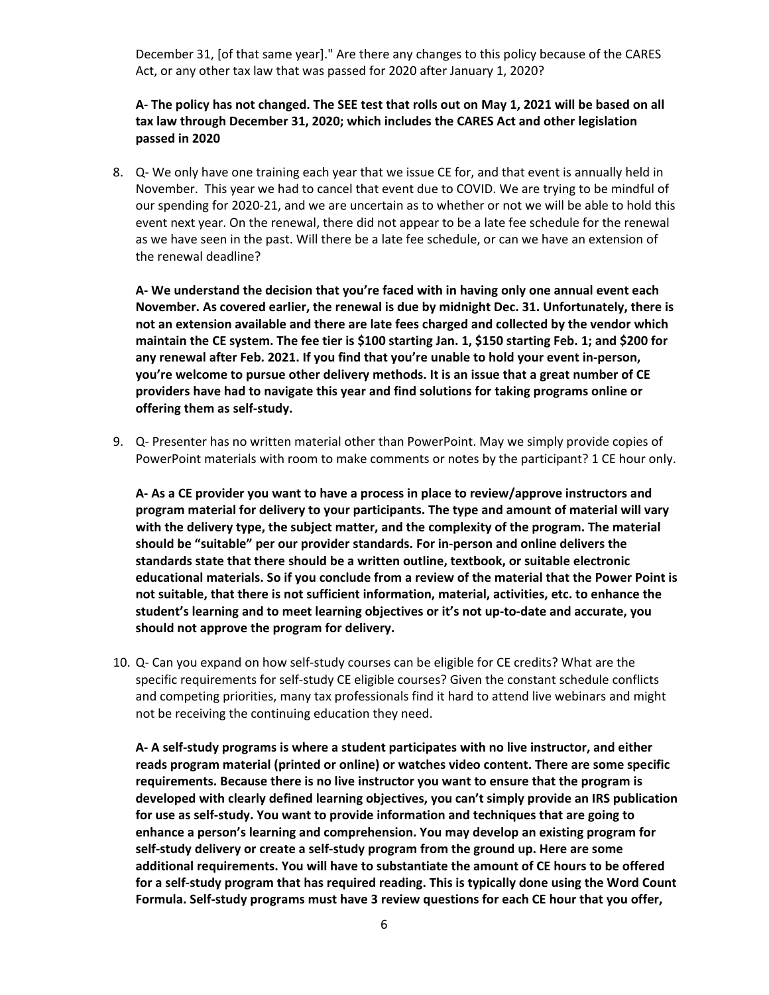December 31, [of that same year]." Are there any changes to this policy because of the CARES Act, or any other tax law that was passed for 2020 after January 1, 2020?

#### **A- The policy has not changed. The SEE test that rolls out on May 1, 2021 will be based on all tax law through December 31, 2020; which includes the CARES Act and other legislation passed in 2020**

8. Q- We only have one training each year that we issue CE for, and that event is annually held in November. This year we had to cancel that event due to COVID. We are trying to be mindful of our spending for 2020-21, and we are uncertain as to whether or not we will be able to hold this event next year. On the renewal, there did not appear to be a late fee schedule for the renewal as we have seen in the past. Will there be a late fee schedule, or can we have an extension of the renewal deadline?

**A- We understand the decision that you're faced with in having only one annual event each November. As covered earlier, the renewal is due by midnight Dec. 31. Unfortunately, there is not an extension available and there are late fees charged and collected by the vendor which maintain the CE system. The fee tier is \$100 starting Jan. 1, \$150 starting Feb. 1; and \$200 for any renewal after Feb. 2021. If you find that you're unable to hold your event in-person, you're welcome to pursue other delivery methods. It is an issue that a great number of CE providers have had to navigate this year and find solutions for taking programs online or offering them as self-study.**

9. Q- Presenter has no written material other than PowerPoint. May we simply provide copies of PowerPoint materials with room to make comments or notes by the participant? 1 CE hour only.

**A- As a CE provider you want to have a process in place to review/approve instructors and program material for delivery to your participants. The type and amount of material will vary with the delivery type, the subject matter, and the complexity of the program. The material should be "suitable" per our provider standards. For in-person and online delivers the standards state that there should be a written outline, textbook, or suitable electronic educational materials. So if you conclude from a review of the material that the Power Point is not suitable, that there is not sufficient information, material, activities, etc. to enhance the student's learning and to meet learning objectives or it's not up-to-date and accurate, you should not approve the program for delivery.**

10. Q- Can you expand on how self-study courses can be eligible for CE credits? What are the specific requirements for self-study CE eligible courses? Given the constant schedule conflicts and competing priorities, many tax professionals find it hard to attend live webinars and might not be receiving the continuing education they need.

**A- A self-study programs is where a student participates with no live instructor, and either reads program material (printed or online) or watches video content. There are some specific requirements. Because there is no live instructor you want to ensure that the program is developed with clearly defined learning objectives, you can't simply provide an IRS publication for use as self-study. You want to provide information and techniques that are going to enhance a person's learning and comprehension. You may develop an existing program for self-study delivery or create a self-study program from the ground up. Here are some additional requirements. You will have to substantiate the amount of CE hours to be offered for a self-study program that has required reading. This is typically done using the Word Count Formula. Self-study programs must have 3 review questions for each CE hour that you offer,**